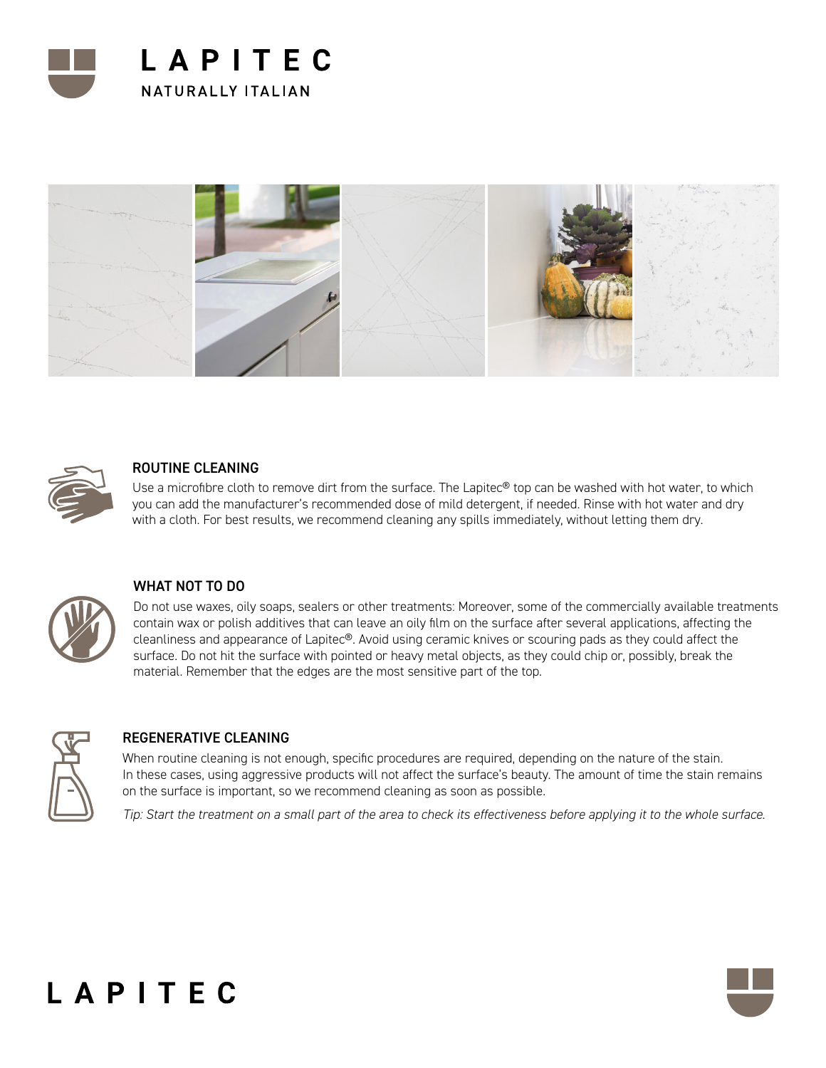





## ROUTINE CLEANING

Use a microfibre cloth to remove dirt from the surface. The Lapitec<sup>®</sup> top can be washed with hot water, to which you can add the manufacturer's recommended dose of mild detergent, if needed. Rinse with hot water and dry with a cloth. For best results, we recommend cleaning any spills immediately, without letting them dry.



# WHAT NOT TO DO

Do not use waxes, oily soaps, sealers or other treatments: Moreover, some of the commercially available treatments contain wax or polish additives that can leave an oily film on the surface after several applications, affecting the cleanliness and appearance of Lapitec®. Avoid using ceramic knives or scouring pads as they could affect the surface. Do not hit the surface with pointed or heavy metal objects, as they could chip or, possibly, break the material. Remember that the edges are the most sensitive part of the top.



# REGENERATIVE CLEANING

When routine cleaning is not enough, specific procedures are required, depending on the nature of the stain. In these cases, using aggressive products will not affect the surface's beauty. The amount of time the stain remains on the surface is important, so we recommend cleaning as soon as possible.

*Tip: Start the treatment on a small part of the area to check its effectiveness before applying it to the whole surface.*

# LAPITEC